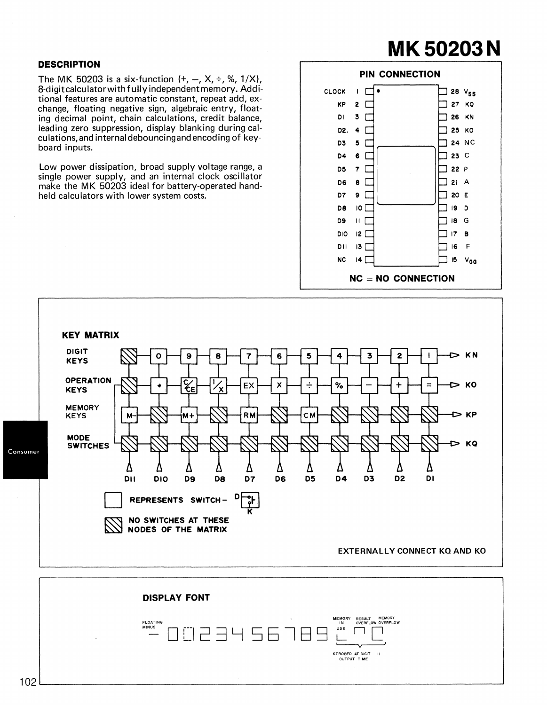## **MK50203N**

## **DESCRIPTION**

The MK 50203 is a six-function  $(+, -, X, \div, \%, 1/X)$ , 8-digit calculator with fully independent memory. Additional features are automatic constant, repeat add, exchange, floating negative sign, algebraic entry, floating decimal point, chain calculations, credit balance, leading zero suppression, display blanking during calculations,and internal debouncingand encoding of keyboard inputs.

Low power dissipation, broad supply voltage range, a single power supply, and an internal clock oscillator make the MK 50203 ideal for battery-operated handheld calculators with lower system costs.





MEMORY RESULT MEMORY IN OVERFLOW OVERFLOW FLOATING MINUS USE 23456789  $\Gamma$ ٦ STROBED AT DIGIT 11 OUTPUT TIME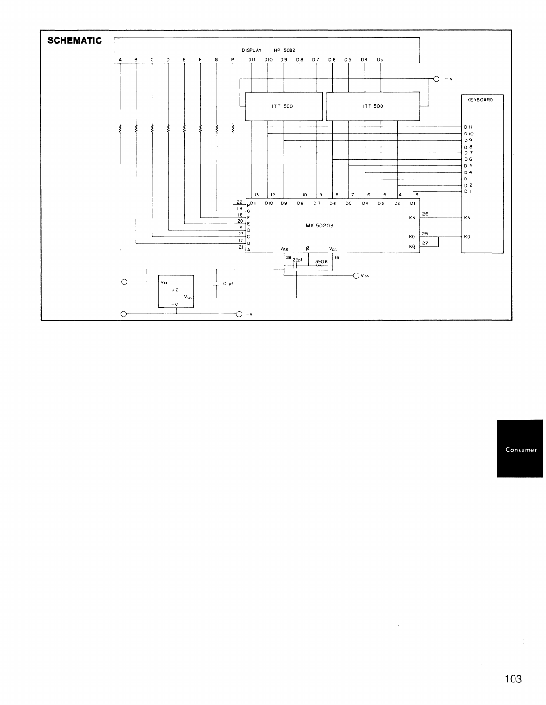

Consumer

 $\bar{\mathcal{L}}$